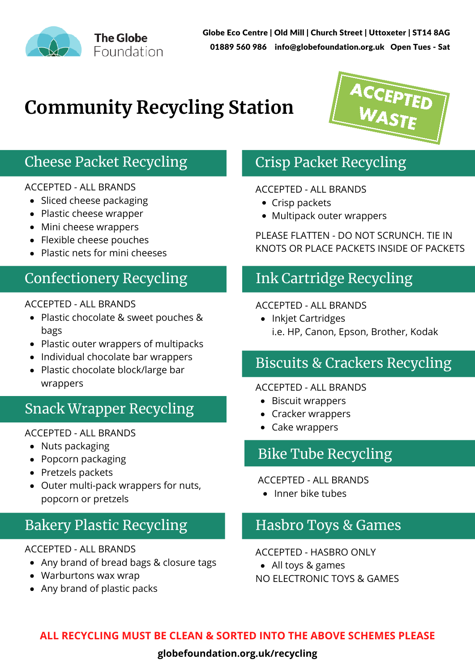

Globe Eco Centre | Old Mill | Church Street | Uttoxeter | ST14 8AG 01889 560 986 info@globefoundation.org.uk Open Tues - Sat

# **Community Recycling Station**



### Cheese Packet Recycling

#### ACCEPTED - ALL BRANDS

- Sliced cheese packaging
- Plastic cheese wrapper
- Mini cheese wrappers
- Flexible cheese pouches
- Plastic nets for mini cheeses

### Confectionery Recycling

#### ACCEPTED - ALL BRANDS

- Plastic chocolate & sweet pouches & bags
- Plastic outer wrappers of multipacks
- Individual chocolate bar wrappers
- Plastic chocolate block/large bar wrappers

### Snack Wrapper Recycling

#### ACCEPTED - ALL BRANDS

- Nuts packaging
- Popcorn packaging
- Pretzels packets
- Outer multi-pack wrappers for nuts, popcorn or pretzels

### Bakery Plastic Recycling

#### ACCEPTED - ALL BRANDS

- Any brand of bread bags & closure tags
- Warburtons wax wrap
- Any brand of plastic packs

## Crisp Packet Recycling

#### ACCEPTED - ALL BRANDS

- Crisp packets
- Multipack outer wrappers

PLEASE FLATTEN - DO NOT SCRUNCH. TIE IN KNOTS OR PLACE PACKETS INSIDE OF PACKETS

### Ink Cartridge Recycling

#### ACCEPTED - ALL BRANDS

• Inkjet Cartridges i.e. HP, Canon, Epson, Brother, Kodak

### Biscuits & Crackers Recycling

#### ACCEPTED - ALL BRANDS

- Biscuit wrappers
- Cracker wrappers
- Cake wrappers

### Bike Tube Recycling

#### ACCEPTED - ALL BRANDS

• Inner bike tubes

### Hasbro Toys & Games

ACCEPTED - HASBRO ONLY

- All toys & games
- NO ELECTRONIC TOYS & GAMES

### **ALL RECYCLING MUST BE CLEAN & SORTED INTO THE ABOVE SCHEMES PLEASE**

#### **globefoundation.org.uk/recycling**